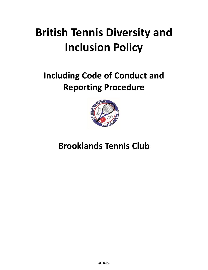# **British Tennis Diversity and Inclusion Policy**

## <span id="page-0-0"></span>**Including Code of Conduct and Reporting Procedure**



### **Brooklands Tennis Club**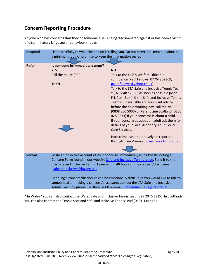### **Concern Reporting Procedure**

Anyone who has concerns that they or someone else is being discriminated against or has been a victim of discriminatory language or behaviour should:

| <b>Respond</b> | Listen carefully to what the person is telling you. Do not interrupt; keep questions to<br>a minimum; do not promise to keep the information secret                                                                                                                                                                                                                                                                                                                                                                                        |                                                                                                                                                                                                                                                                                                                                                                                                                                                                                                                                                                                              |
|----------------|--------------------------------------------------------------------------------------------------------------------------------------------------------------------------------------------------------------------------------------------------------------------------------------------------------------------------------------------------------------------------------------------------------------------------------------------------------------------------------------------------------------------------------------------|----------------------------------------------------------------------------------------------------------------------------------------------------------------------------------------------------------------------------------------------------------------------------------------------------------------------------------------------------------------------------------------------------------------------------------------------------------------------------------------------------------------------------------------------------------------------------------------------|
| Refer          | Is someone in immediate danger?<br><b>YES</b><br>Call the police (999)<br><b>THEN</b>                                                                                                                                                                                                                                                                                                                                                                                                                                                      | <b>NO</b><br>Talk to the club's Welfare Officer in<br>confidence (Paul Fellows, 07764802369,<br>pauldfellows@yahoo.co.uk)<br>Talk to the LTA Safe and Inclusive Tennis Team<br>* (020 8487 7000) as soon as possible [Mon-<br>Fri, 9am-5pm]. If the Safe and Inclusive Tennis<br>Team is unavailable and you want advice<br>before the next working day, call the NSPCC<br>(0808 800 5000) or Parent Line Scotland (0800<br>028 2233) if your concerns is about a child.<br>If your concern us about an adult ask them for<br>details of your Local Authority Adult Social<br>Care Services. |
|                |                                                                                                                                                                                                                                                                                                                                                                                                                                                                                                                                            | Hate crime can alternatively be reported<br>through True Vision at www.report-it.org.uk                                                                                                                                                                                                                                                                                                                                                                                                                                                                                                      |
| <b>Record</b>  | Write an objective account of your concerns immediately using the Reporting a<br>Concern Form found in our website Safe and Inclusive Tennis page. Send it to the<br>LTA Safe and Inclusive Tennis Team within 48 hours of the concern/disclosure<br>(safeandinclusive@Ita.org.uk)<br>Handling a concern/disclosure can be emotionally difficult. If you would like to talk to<br>someone after making a concern/disclosure, contact the LTA Safe and Inclusive<br>Tennis Team by phone 020 8487 7000 or email safeandinclusive@lta.org.uk |                                                                                                                                                                                                                                                                                                                                                                                                                                                                                                                                                                                              |

**\*** In Wales? You can also contact the Wales Safe and Inclusive Tennis Lead (029 2046 3335). In Scotland? You can also contact the Tennis Scotland Safe and Inclusive Tennis Lead (0131 444 4154).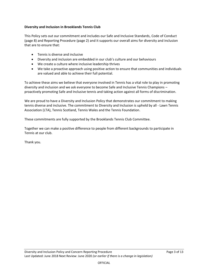#### **Diversity and Inclusion in Brooklands Tennis Club**

This Policy sets out our commitment and includes our Safe and Inclusive Standards, Code of Conduct (page 8) and Reporting Procedure (page 2) and it supports our overall aims for diversity and inclusion that are to ensure that:

- Tennis is diverse and inclusive
- Diversity and inclusion are embedded in our club's culture and our behaviours
- We create a culture where inclusive leadership thrives
- We take a proactive approach using positive action to ensure that communities and individuals are valued and able to achieve their full potential.

To achieve these aims we believe that everyone involved in Tennis has a vital role to play in promoting diversity and inclusion and we ask everyone to become Safe and Inclusive Tennis Champions – proactively promoting Safe and Inclusive tennis and taking action against all forms of discrimination.

We are proud to have a Diversity and Inclusion Policy that demonstrates our commitment to making tennis diverse and inclusive. The commitment to Diversity and Inclusion is upheld by all - Lawn Tennis Association (LTA), Tennis Scotland, Tennis Wales and the Tennis Foundation.

These commitments are fully supported by the Brooklands Tennis Club Committee.

Together we can make a positive difference to people from different backgrounds to participate in Tennis at our club.

Thank you.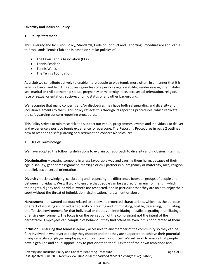#### **Diversity and Inclusion Policy**

#### **1. Policy Statement**

This Diversity and Inclusion Policy, Standards, Code of Conduct and Reporting Procedure are applicable to Brooklands Tennis Club and is based on similar policies of:

- The Lawn Tennis Association (LTA)
- Tennis Scotland
- Tennis Wales
- The Tennis Foundation.

As a club we contribute actively to enable more people to play tennis more often, in a manner that it is safe, inclusive, and fair. This applies regardless of a person's age, disability, gender reassignment status, sex, marital or civil partnership status, pregnancy or maternity, race, sex, sexual orientation, religion, race or sexual orientation, socio-economic status or any other background.

We recognise that many concerns and/or disclosures may have both safeguarding and diversity and inclusion elements to them. This policy reflects this through its reporting procedures, which replicate the safeguarding concern reporting procedures.

This Policy strives to minimise risk and support our venue, programmes, events and individuals to deliver and experience a positive tennis experience for everyone. The Reporting Procedures in page 2 outlines how to respond to safeguarding or discrimination concerns/disclosures.

#### **2. Use of Terminology**

We have adopted the following definitions to explain our approach to diversity and inclusion in tennis:

**Discrimination** – treating someone in a less favourable way and causing them harm, because of their age, disability, gender reassignment, marriage or civil partnership, pregnancy or maternity, race, religion or belief, sex or sexual orientation

**Diversity** – acknowledging, celebrating and respecting the differences between groups of people and between individuals. We will work to ensure that people can be assured of an environment in which their rights, dignity and individual worth are respected, and in particular that they are able to enjoy their sport without the threat of intimidation, victimisation, harassment or abuse.

**Harassment** – unwanted conduct related to a relevant protected characteristic, which has the purpose or effect of violating an individual's dignity or creating and intimidating, hostile, degrading, humiliating or offensive environment for that individual or creates an intimidating, hostile, degrading, humiliating or offensive environment. The focus is on the perception of the complainant not the intent of the perpetrator. Employees can complain of behaviour they find offensive even if it is not directed at them.

**Inclusion** – ensuring that tennis is equally accessible to any member of the community so they can be fully involved in whatever capacity they choose; and that they are supported to achieve their potential in any capacity e.g. player, employee, volunteer, coach or official. We will work to ensure that people have a genuine and equal opportunity to participate to the full extent of their own ambitions and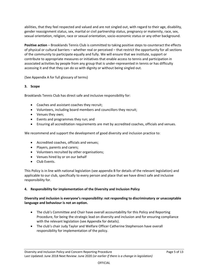abilities, that they feel respected and valued and are not singled out, with regard to their age, disability, gender reassignment status, sex, marital or civil partnership status, pregnancy or maternity, race, sex, sexual orientation, religion, race or sexual orientation, socio-economic status or any other background.

**Positive action** – Brooklands Tennis Club is committed to taking positive steps to counteract the effects of physical or cultural barriers – whether real or perceived – that restrict the opportunity for all sections of the community to participate equally and fully. We will ensure that we institute, support or contribute to appropriate measures or initiatives that enable access to tennis and participation in associated activities by people from any group that is under-represented in tennis or has difficulty accessing it and that they can do so with dignity or without being singled out.

(See Appendix A for full glossary of terms)

#### **3. Scope**

Brooklands Tennis Club has direct safe and inclusive responsibility for:

- Coaches and assistant coaches they recruit;
- Volunteers, including board members and councillors they recruit;
- Venues they own;
- Events and programmes they run; and
- Ensuring all accreditation requirements are met by accredited coaches, officials and venues.

We recommend and support the development of good diversity and inclusion practice to:

- Accredited coaches, officials and venues;
- Players, parents and carers;
- Volunteers recruited by other organisations;
- Venues hired by or on our behalf
- Club Events.

This Policy is in line with national legislation (see appendix B for details of the relevant legislation) and applicable to our club, specifically to every person and place that we have direct safe and inclusive responsibility for.

#### **4. Responsibility for implementation of the Diversity and Inclusion Policy**

#### **Diversity and inclusion is everyone's responsibility: not responding to discriminatory or unacceptable language and behaviour is not an option.**

- The club's Committee and Chair have overall accountability for this Policy and Reporting Procedure, for being the strategic lead on diversity and inclusion and for ensuring compliance with the relevant legislation (see Appendix for details).
- The club's chair Judy Taylor and Welfare Officer Catherine Stephenson have overall responsibility for implementation of the policy.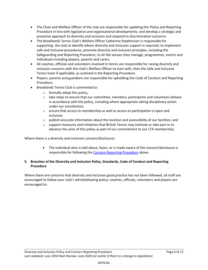- The Chair and Welfare Officer of the club are responsible for updating this Policy and Reporting Procedure in line with legislative and organisational developments; and develop a strategic and proactive approach to diversity and inclusion and respond to discrimination concerns.
- The Brooklands Tennis Club's Welfare Officer Catherine Stephenson is responsible for supporting the club to identify where diversity and inclusion support is required; to implement safe and inclusive procedures; promote diversity and inclusion principles, including the Safeguarding and Reporting Procedure, to all the venues they manage, programmes, events and individuals including players, parents and carers.
- All coaches, officials and volunteers involved in tennis are responsible for raising diversity and inclusion concerns with the club's Welfare Officer to start with; then the Safe and Inclusive Tennis team if applicable, as outlined in the Reporting Procedure.
- Players, parents and guardians are responsible for upholding the Code of Conduct and Reporting Procedure.
- Brooklands Tennis Club is committed to:
	- $\circ$  formally adopt this policy.
	- $\circ$  take steps to ensure that our committee, members, participants and volunteers behave in accordance with the policy, including where appropriate taking disciplinary action under our constitution;
	- o ensure that access to membership as well as access to participation is open and inclusive;
	- $\circ$  publish accurate information about the location and accessibility of our facilities; and
	- $\circ$  support measures and initiatives that British Tennis may institute or take part in to advance the aims of this policy as part of our commitment to our LTA membership.

Where there is a diversity and inclusion concern/disclosure:

• The individual who is told about, hears, or is made aware of the concern/disclosure is responsible for following the [Concern Reporting Procedure](#page-0-0) above

#### **5. Breaches of the Diversity and Inclusion Policy, Standards, Code of Conduct and Reporting Procedure**

Where there are concerns that diversity and inclusion good practice has not been followed, all staff are encouraged to follow your club's whistleblowing policy; coaches, officials, volunteers and players are encouraged to: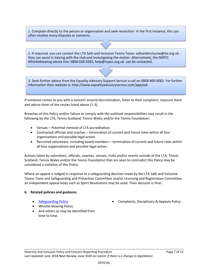1. Complain directly to the person or organisation and seek resolution. In the first instance, this can often resolve many disputes or concerns.

2. If required, you can contact the LTA Safe and Inclusive Tennis Team: safeandinclusive@lta.org.uk they can assist in liaising with the club and investigating the matter. Alternatively, the NSPCC Whistleblowing advice line: 0800 028 0285; help@nspcc.org.uk can be contacted.

3. Seek further advice from the Equality Advisory Support Service a call on 0808 800 0082. For further information their website is: http://www.equalityadvisoryservice.com/app/ask

If someone comes to you with a concern around discrimination, listen to their complaint, reassure them and advise them of the routes listed above (1-3).

Breaches of this Policy and/or failure to comply with the outlined responsibilities may result in the following by the LTA, Tennis Scotland, Tennis Wales and/or the Tennis Foundation:

- Venues Potential removal of LTA accreditation
- Contracted officials and coaches termination of current and future roles within all four organisations and possible legal action.
- Recruited volunteers, including board members termination of current and future roles within all four organisations and possible legal action.

Actions taken by volunteers, officials, coaches, venues, clubs and/or events outside of the LTA, Tennis Scotland, Tennis Wales and/or the Tennis Foundation that are seen to contradict this Policy may be considered a violation of this Policy.

Where an appeal is lodged in response to a safeguarding decision made by the LTA Safe and Inclusive Tennis Team and Safeguarding and Protection Committee and/or Licensing and Registration Committee, an independent appeal body such as Sport Resolutions may be used. Their decision is final.

#### **6. Related policies and guidance**

- 
- Whistle-blowing Policy
- [Safeguarding Policy](https://www.lta.org.uk/globalassets/about-lta/safeguarding/british-tennis-safeguarding-policy.pdf) Complaints, Disciplinary & Appeals Policy
- And others as may be identified from time to time.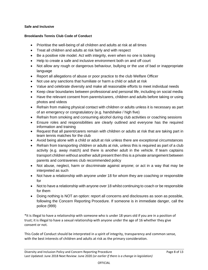#### **Safe and Inclusive**

#### **Brooklands Tennis Club Code of Conduct**

- Prioritise the well-being of all children and adults at risk at all times
- Treat all children and adults at risk fairly and with respect
- Be a positive role model. Act with integrity, even when no one is looking
- Help to create a safe and inclusive environment both on and off court
- Not allow any rough or dangerous behaviour, bullying or the use of bad or inappropriate language
- Report all allegations of abuse or poor practice to the club Welfare Officer
- Not use any sanctions that humiliate or harm a child or adult at risk
- Value and celebrate diversity and make all reasonable efforts to meet individual needs
- Keep clear boundaries between professional and personal life, including on social media
- Have the relevant consent from parents/carers, children and adults before taking or using photos and videos
- Refrain from making physical contact with children or adults unless it is necessary as part of an emergency or congratulatory (e.g. handshake / high five)
- Refrain from smoking and consuming alcohol during club activities or coaching sessions
- Ensure roles and responsibilities are clearly outlined and everyone has the required information and training
- Request that all parent/carers remain with children or adults at risk that are taking part in team tennis matches for the club
- Avoid being alone with a child or adult at risk unless there are exceptional circumstances
- Refrain from transporting children or adults at risk, unless this is required as part of a club activity (e.g. away match) and there is another adult in the vehicle. If team captains transport children without another adult present then this is a private arrangement between parents and contravenes club recommended policy
- Not abuse, neglect, harm or discriminate against anyone; or act in a way that may be interpreted as such
- Not have a relationship with anyone under 18 for whom they are coaching or responsible for
- Not to have a relationship with anyone over 18 whilst continuing to coach or be responsible for them
- Doing nothing is NOT an option: report all concerns and disclosures as soon as possible, following the Concern Reporting Procedure. If someone is in immediate danger, call the police (999)

\*It is illegal to have a relationship with someone who is under 18 years old if you are in a position of trust; it is illegal to have a sexual relationship with anyone under the age of 16 whether they give consent or not.

This Code of Conduct should be interpreted in a spirit of integrity, transparency and common sense, with the best interests of children and adults at risk as the primary consideration.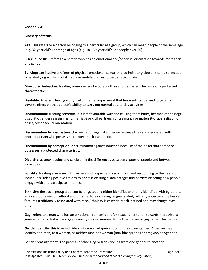#### **Appendix A:**

#### **Glossary of terms**

**Age:** This refers to a person belonging to a particular age group, which can mean people of the same age (e.g. 32-year old's) or range of ages (e.g. 18 - 30-year old's, or people over 50).

**Bisexual or Bi:** – refers to a person who has an emotional and/or sexual orientation towards more than one gender.

**Bullying:** can involve any form of physical, emotional, sexual or discriminatory abuse. It can also include cyber-bullying – using social media or mobile phones to perpetrate bullying.

**Direct discrimination:** treating someone less favourably than another person because of a protected characteristic.

**Disability:** A person having a physical or mental impairment that has a substantial and long-term adverse effect on that person's ability to carry out normal day-to-day activities.

**Discrimination:** treating someone in a less favourable way and causing them harm, because of their age, disability, gender reassignment, marriage or civil partnership, pregnancy or maternity, race, religion or belief, sex or sexual orientation.

**Discrimination by association:** discrimination against someone because they are associated with another person who possesses a protected characteristic.

**Discrimination by perception:** discrimination against someone because of the belief that someone possesses a protected characteristic.

**Diversity:** acknowledging and celebrating the differences between groups of people and between individuals**.**

**Equality**: treating everyone with fairness and respect and recognising and responding to the needs of individuals. Taking positive actions to address existing disadvantages and barriers affecting how people engage with and participate in tennis.

**Ethnicity**: the social group a person belongs to, and either identifies with or is identified with by others, as a result of a mix of cultural and other factors including language, diet, religion, ancestry and physical features traditionally associated with race. Ethnicity is essentially self-defined and may change over time.

**Gay**: refers to a man who has an emotional, romantic and/or sexual orientation towards men. Also, a generic term for lesbian and gay sexuality - some women define themselves as gay rather than lesbian.

**Gender identity: t**his is an individual's internal self-perception of their own gender. A person may identify as a man, as a woman, as neither man nor woman (non-binary) or as androgyne/polygender.

**Gender reassignment**: The process of changing or transitioning from one gender to another.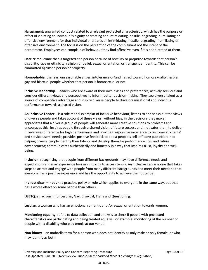**Harassment:** unwanted conduct related to a relevant protected characteristic, which has the purpose or effect of violating an individual's dignity or creating and intimidating, hostile, degrading, humiliating or offensive environment for that individual or creates an intimidating, hostile, degrading, humiliating or offensive environment. The focus is on the perception of the complainant not the intent of the perpetrator. Employees can complain of behaviour they find offensive even if it is not directed at them.

**Hate crime:** crime that is targeted at a person because of hostility or prejudice towards that person's disability, race or ethnicity, religion or belief, sexual orientation or transgender identity. This can be committed against a person or property.

**Homophobia**: the fear, unreasonable anger, intolerance or/and hatred toward homosexuality, lesbian gay and bisexual people whether that person is homosexual or not.

**Inclusive leadership** – leaders who are aware of their own biases and preferences, actively seek out and consider different views and perspectives to inform better decision-making. They see diverse talent as a source of competitive advantage and inspire diverse people to drive organisational and individual performance towards a shared vision.

**An Inclusive Leader** – is a role model exemplar of inclusive behaviour; listens to and seeks out the views of diverse people and takes account of these views, without bias, in the decisions they make; appreciates that a diverse group of people will generate more creative solutions to problems and encourages this; inspires people through a shared vision of future success and motivates them to deliver it; leverages difference for high performance and provides responsive excellence to customers', clients' and service users' needs; provides positive feedback to boost people's self-efficacy; puts effort into helping diverse people identify their talents and develop them for performance now and future advancement; communicates authentically and honestly in a way that inspires trust, loyalty and wellbeing.

**Inclusion:** recognising that people from different backgrounds may have difference needs and expectations and may experience barriers in trying to access tennis. An inclusive venue is one that takes steps to attract and engage with people from many different backgrounds and meet their needs so that everyone has a positive experience and has the opportunity to achieve their potential.

**Indirect discrimination:** a practice, policy or rule which applies to everyone in the same way, but that has a worse effect on some people than others.

**LGBTQ:** an acronym for Lesbian, Gay, Bisexual, Trans and Questioning.

**Lesbian**: a woman who has an emotional romantic and /or sexual orientation towards women.

**Monitoring equality**: refers to data collection and analysis to check if people with protected characteristics are participating and being treated equally. For example: monitoring of the number of people with a disability who play tennis at our venue.

**Non-binary** – an umbrella term for a person who does not identify as only male or only female, or who may identify as both.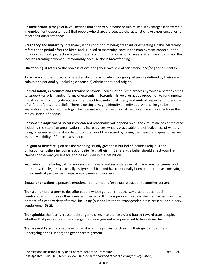**Positive action:** a range of lawful actions that seek to overcome or minimise disadvantages (for example in employment opportunities) that people who share a protected characteristic have experienced, or to meet their different needs.

**Pregnancy and maternity**: pregnancy is the condition of being pregnant or expecting a baby. Maternity refers to the period after the birth, and is linked to maternity leave in the employment context. In the non-work context, protection against maternity discrimination is for 26 weeks after giving birth, and this includes treating a woman unfavourably because she is breastfeeding.

**Questioning**: it refers to the process of exploring your own sexual orientation and/or gender identity.

**Race:** refers to the protected characteristic of race. It refers to a group of people defined by their race, colour, and nationality (including citizenship) ethnic or national origins.

**Radicalisation, extremism and terrorist behavior**: Radicalisation is the process by which a person comes to support terrorism and/or forms of extremism. Extremism is vocal or active opposition to fundamental British values, including democracy, the rule of law, individual liberty and mutual respect and tolerance of different faiths and beliefs. There is no single way to identify an individual who is likely to be susceptible to extremist ideology. The internet and the use of social media can be a major factor in the radicalisation of people.

**Reasonable adjustment**: What is considered reasonable will depend on all the circumstances of the case including the size of an organisation and its resources, what is practicable, the effectiveness of what is being proposed and the likely disruption that would be caused by taking the measure in question as well as the availability of financial assistance

**Religion or belief:** religion has the meaning usually given to it but belief includes religious and philosophical beliefs including lack of belief (e.g. atheism). Generally, a belief should affect your life choices or the way you live for it to be included in the definition.

**Sex:** refers to the biological makeup such as primary and secondary sexual characteristics, genes, and hormones. The legal sex is usually assigned at birth and has traditionally been understood as consisting of two mutually exclusive groups, namely men and women.

**Sexual orientation:** a person's emotional, romantic and/or sexual attraction to another person.

**Trans:** an umbrella term to describe people whose gender is not the same as, or does not sit comfortably with, the sex they were assigned at birth. Trans people may describe themselves using one or more of a wide variety of terms, including (but not limited to) transgender, cross dresser, non-binary, genderqueer (GQ).

**Transphobia**: the fear, unreasonable anger, dislike, intolerance or/and hatred toward trans people, whether that person has undergone gender reassignment or is perceived to have done that.

**Transsexual Person:** someone who has started the process of changing their gender identity is undergoing or has undergone gender reassignment.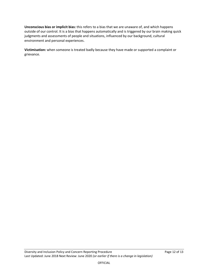**Unconscious bias or implicit bias:** this refers to a bias that we are unaware of, and which happens outside of our control. It is a bias that happens automatically and is triggered by our brain making quick judgments and assessments of people and situations, influenced by our background, cultural environment and personal experiences.

**Victimisation:** when someone is treated badly because they have made or supported a complaint or grievance.